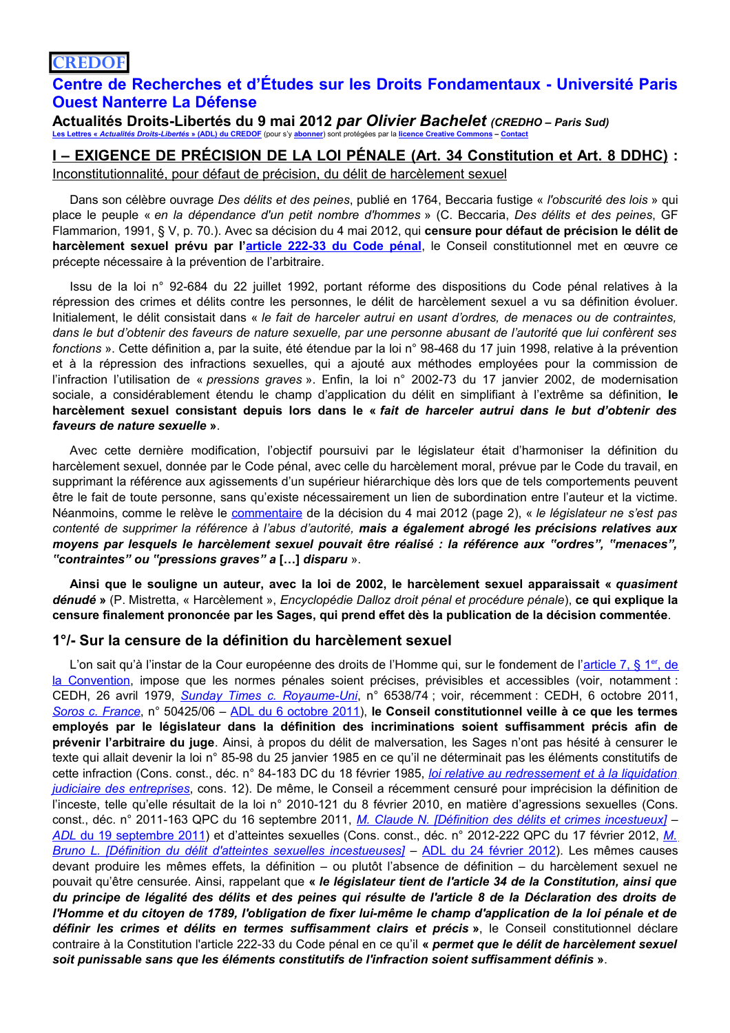# **CREDOF**

# Centre de Recherches et d'Études sur les Droits Fondamentaux - Université Paris **Ouest Nanterre La Défense**

Actualités Droits-Libertés du 9 mai 2012 par Olivier Bachelet (CREDHO - Paris Sud) Les Lettres « Actualités Droits-Libertés » (ADL) du CREDOF (pour s'y abonner) sont protégées par la licence Creative Commons -

## <u>I – EXIGENCE DE PRÉCISION DE LA LOI PÉNALE (Art. 34 Constitution et Art. 8 DDHC)</u> : Inconstitutionnalité, pour défaut de précision, du délit de harcèlement sexuel

Dans son célèbre ouvrage Des délits et des peines, publié en 1764, Beccaria fustige « l'obscurité des lois » qui place le peuple « en la dépendance d'un petit nombre d'hommes » (C. Beccaria, Des délits et des peines, GF Flammarion, 1991, § V, p. 70.). Avec sa décision du 4 mai 2012, qui censure pour défaut de précision le délit de harcèlement sexuel prévu par l'article 222-33 du Code pénal, le Conseil constitutionnel met en œuvre ce précepte nécessaire à la prévention de l'arbitraire.

Issu de la loi n° 92-684 du 22 juillet 1992, portant réforme des dispositions du Code pénal relatives à la répression des crimes et délits contre les personnes, le délit de harcèlement sexuel a vu sa définition évoluer. Initialement, le délit consistait dans « le fait de harceler autrui en usant d'ordres, de menaces ou de contraintes, dans le but d'obtenir des faveurs de nature sexuelle, par une personne abusant de l'autorité que lui confèrent ses fonctions ». Cette définition a, par la suite, été étendue par la loi n° 98-468 du 17 juin 1998, relative à la prévention et à la répression des infractions sexuelles, qui a ajouté aux méthodes employées pour la commission de l'infraction l'utilisation de « pressions graves ». Enfin, la loi n° 2002-73 du 17 janvier 2002, de modernisation sociale, a considérablement étendu le champ d'application du délit en simplifiant à l'extrême sa définition, le harcèlement sexuel consistant depuis lors dans le « fait de harceler autrui dans le but d'obtenir des faveurs de nature sexuelle ».

Avec cette dernière modification, l'objectif poursuivi par le législateur était d'harmoniser la définition du harcèlement sexuel, donnée par le Code pénal, avec celle du harcèlement moral, prévue par le Code du travail, en supprimant la référence aux agissements d'un supérieur hiérarchique dès lors que de tels comportements peuvent être le fait de toute personne, sans qu'existe nécessairement un lien de subordination entre l'auteur et la victime. Néanmoins, comme le relève le commentaire de la décision du 4 mai 2012 (page 2), « le législateur ne s'est pas contenté de supprimer la référence à l'abus d'autorité, mais a également abrogé les précisions relatives aux moyens par lesquels le harcèlement sexuel pouvait être réalisé : la référence aux "ordres", "menaces", "contraintes" ou "pressions graves" a [...] disparu ».

Ainsi que le souligne un auteur, avec la loi de 2002, le harcèlement sexuel apparaissait « quasiment dénudé » (P. Mistretta, « Harcèlement », Encyclopédie Dalloz droit pénal et procédure pénale), ce qui explique la censure finalement prononcée par les Sages, qui prend effet dès la publication de la décision commentée.

### 1%- Sur la censure de la définition du harcèlement sexuel

L'on sait qu'à l'instar de la Cour européenne des droits de l'Homme qui, sur le fondement de l'article 7, § 1<sup>er</sup>, de la Convention, impose que les normes pénales soient précises, prévisibles et accessibles (voir, notamment : CEDH, 26 avril 1979, Sunday Times c. Royaume-Uni, n° 6538/74; voir, récemment : CEDH, 6 octobre 2011, Soros c. France, n° 50425/06 - ADL du 6 octobre 2011), le Conseil constitutionnel veille à ce que les termes employés par le législateur dans la définition des incriminations soient suffisamment précis afin de prévenir l'arbitraire du juge. Ainsi, à propos du délit de malversation, les Sages n'ont pas hésité à censurer le texte qui allait devenir la loi n° 85-98 du 25 janvier 1985 en ce qu'il ne déterminait pas les éléments constitutifs de cette infraction (Cons. const., déc. n° 84-183 DC du 18 février 1985. loi relative au redressement et à la liquidation judiciaire des entreprises, cons. 12). De même, le Conseil a récemment censuré pour imprécision la définition de l'inceste, telle qu'elle résultait de la loi n° 2010-121 du 8 février 2010, en matière d'agressions sexuelles (Cons. const., déc. n° 2011-163 QPC du 16 septembre 2011, M. Claude N. [Définition des délits et crimes incestueux] – ADL du 19 septembre 2011) et d'atteintes sexuelles (Cons. const., déc. n° 2012-222 QPC du 17 février 2012, M. Bruno L. [Définition du délit d'atteintes sexuelles incestueuses] - ADL du 24 février 2012). Les mêmes causes devant produire les mêmes effets, la définition – ou plutôt l'absence de définition – du harcèlement sexuel ne pouvait qu'être censurée. Ainsi, rappelant que « le législateur tient de l'article 34 de la Constitution, ainsi que du principe de légalité des délits et des peines qui résulte de l'article 8 de la Déclaration des droits de l'Homme et du citoyen de 1789, l'obligation de fixer lui-même le champ d'application de la loi pénale et de définir les crimes et délits en termes suffisamment clairs et précis ». le Conseil constitutionnel déclare contraire à la Constitution l'article 222-33 du Code pénal en ce qu'il « permet que le délit de harcèlement sexuel soit punissable sans que les éléments constitutifs de l'infraction soient suffisamment définis ».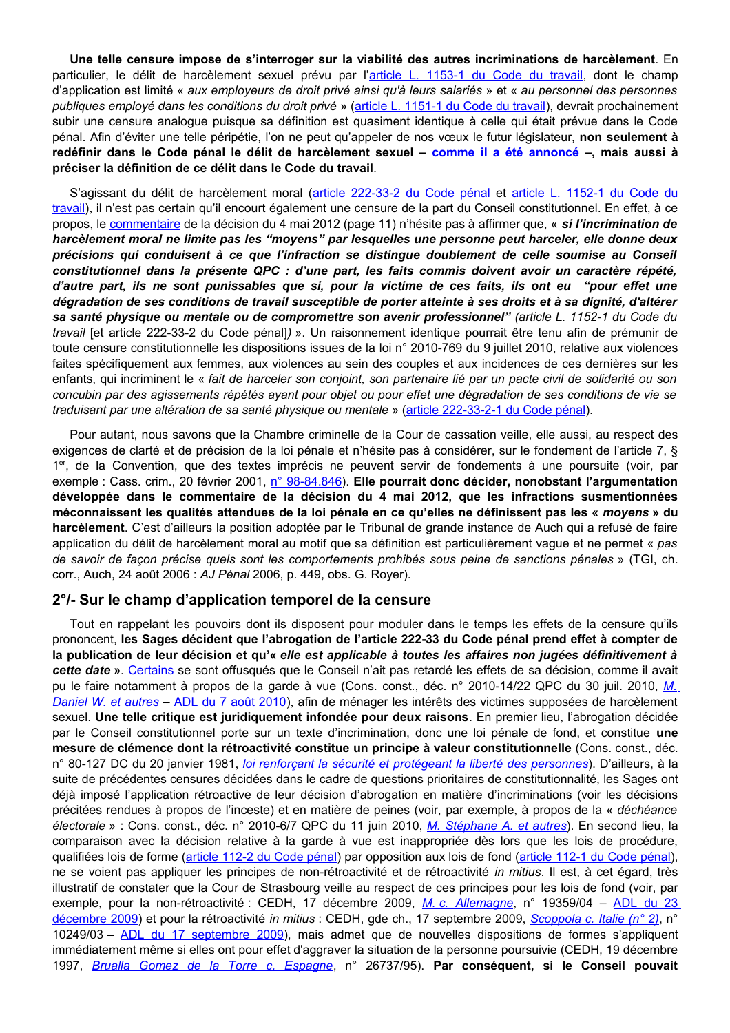Une telle censure impose de s'interroger sur la viabilité des autres incriminations de harcèlement. En particulier, le délit de harcèlement sexuel prévu par l'article L. 1153-1 du Code du travail, dont le champ d'application est limité « aux employeurs de droit privé ainsi qu'à leurs salariés » et « au personnel des personnes publiques employé dans les conditions du droit privé » (article L. 1151-1 du Code du travail), devrait prochainement subir une censure analogue puisque sa définition est quasiment identique à celle qui était prévue dans le Code pénal. Afin d'éviter une telle péripétie, l'on ne peut qu'appeler de nos vœux le futur législateur, non seulement à redéfinir dans le Code pénal le délit de harcèlement sexuel - comme il a été annoncé -, mais aussi à préciser la définition de ce délit dans le Code du travail.

S'agissant du délit de harcèlement moral (article 222-33-2 du Code pénal et article L. 1152-1 du Code du travail), il n'est pas certain qu'il encourt également une censure de la part du Conseil constitutionnel. En effet, à ce propos, le commentaire de la décision du 4 mai 2012 (page 11) n'hésite pas à affirmer que, « si l'incrimination de harcèlement moral ne limite pas les "moyens" par lesquelles une personne peut harceler, elle donne deux précisions qui conduisent à ce que l'infraction se distingue doublement de celle soumise au Conseil constitutionnel dans la présente QPC : d'une part, les faits commis doivent avoir un caractère répété, d'autre part, ils ne sont punissables que si, pour la victime de ces faits, ils ont eu "pour effet une dégradation de ses conditions de travail susceptible de porter atteinte à ses droits et à sa dignité, d'altérer sa santé physique ou mentale ou de compromettre son avenir professionnel" (article L. 1152-1 du Code du travail [et article 222-33-2 du Code pénal]) ». Un raisonnement identique pourrait être tenu afin de prémunir de toute censure constitutionnelle les dispositions issues de la loi n° 2010-769 du 9 juillet 2010, relative aux violences faites spécifiquement aux femmes, aux violences au sein des couples et aux incidences de ces dernières sur les enfants, qui incriminent le « fait de harceler son conjoint, son partenaire lié par un pacte civil de solidarité ou son concubin par des agissements répétés ayant pour objet ou pour effet une dégradation de ses conditions de vie se traduisant par une altération de sa santé physique ou mentale » (article 222-33-2-1 du Code pénal).

Pour autant, nous savons que la Chambre criminelle de la Cour de cassation veille, elle aussi, au respect des exigences de clarté et de précision de la loi pénale et n'hésite pas à considérer, sur le fondement de l'article 7, § 1er, de la Convention, que des textes imprécis ne peuvent servir de fondements à une poursuite (voir, par exemple : Cass. crim., 20 février 2001, n° 98-84.846). Elle pourrait donc décider, nonobstant l'arqumentation développée dans le commentaire de la décision du 4 mai 2012, que les infractions susmentionnées méconnaissent les qualités attendues de la loi pénale en ce qu'elles ne définissent pas les « moyens » du harcèlement. C'est d'ailleurs la position adoptée par le Tribunal de grande instance de Auch qui a refusé de faire application du délit de harcèlement moral au motif que sa définition est particulièrement vague et ne permet « pas de savoir de façon précise quels sont les comportements prohibés sous peine de sanctions pénales » (TGI, ch. corr., Auch, 24 août 2006 : AJ Pénal 2006, p. 449, obs. G. Royer).

### 2%- Sur le champ d'application temporel de la censure

Tout en rappelant les pouvoirs dont ils disposent pour moduler dans le temps les effets de la censure qu'ils prononcent, les Sages décident que l'abrogation de l'article 222-33 du Code pénal prend effet à compter de la publication de leur décision et qu'« elle est applicable à toutes les affaires non jugées définitivement à cette date ». Certains se sont offusqués que le Conseil n'ait pas retardé les effets de sa décision, comme il avait pu le faire notamment à propos de la garde à vue (Cons. const., déc. n° 2010-14/22 QPC du 30 juil. 2010, M. Daniel W. et autres – ADL du 7 août 2010), afin de ménager les intérêts des victimes supposées de harcèlement sexuel. Une telle critique est juridiquement infondée pour deux raisons. En premier lieu, l'abrogation décidée par le Conseil constitutionnel porte sur un texte d'incrimination, donc une loi pénale de fond, et constitue une mesure de clémence dont la rétroactivité constitue un principe à valeur constitutionnelle (Cons. const., déc. n° 80-127 DC du 20 janvier 1981, loi renforcant la sécurité et protégeant la liberté des personnes). D'ailleurs, à la suite de précédentes censures décidées dans le cadre de questions prioritaires de constitutionnalité, les Sages ont déjà imposé l'application rétroactive de leur décision d'abrogation en matière d'incriminations (voir les décisions précitées rendues à propos de l'inceste) et en matière de peines (voir, par exemple, à propos de la « déchéance électorale » : Cons. const., déc. n° 2010-6/7 QPC du 11 juin 2010, M. Stéphane A. et autres). En second lieu, la comparaison avec la décision relative à la garde à vue est inappropriée dès lors que les lois de procédure, qualifiées lois de forme (article 112-2 du Code pénal) par opposition aux lois de fond (article 112-1 du Code pénal), ne se voient pas appliquer les principes de non-rétroactivité et de rétroactivité in mitius. Il est, à cet égard, très illustratif de constater que la Cour de Strasbourg veille au respect de ces principes pour les lois de fond (voir, par exemple, pour la non-rétroactivité : CEDH, 17 décembre 2009, M. c. Allemagne, n° 19359/04 - ADL du 23 décembre 2009) et pour la rétroactivité in mitius : CEDH, gde ch., 17 septembre 2009, Scoppola c. Italie (n° 2), n° 10249/03 - ADL du 17 septembre 2009), mais admet que de nouvelles dispositions de formes s'appliquent immédiatement même si elles ont pour effet d'aggraver la situation de la personne poursuivie (CEDH, 19 décembre 1997, Brualla Gomez de la Torre c. Espagne, nº 26737/95). Par conséquent, si le Conseil pouvait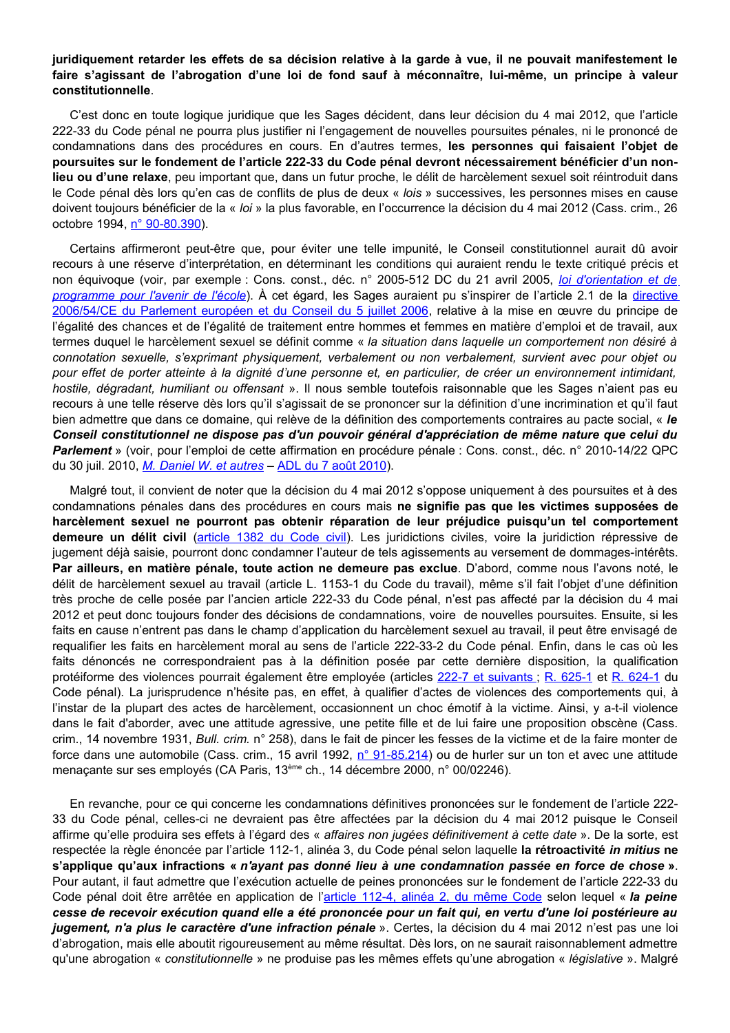#### juridiquement retarder les effets de sa décision relative à la garde à vue, il ne pouvait manifestement le faire s'agissant de l'abrogation d'une loi de fond sauf à méconnaître, lui-même, un principe à valeur constitutionnelle

C'est donc en toute logique juridique que les Sages décident, dans leur décision du 4 mai 2012, que l'article 222-33 du Code pénal ne pourra plus justifier ni l'engagement de nouvelles poursuites pénales, ni le prononcé de condamnations dans des procédures en cours. En d'autres termes, les personnes qui faisaient l'objet de poursuites sur le fondement de l'article 222-33 du Code pénal devront nécessairement bénéficier d'un nonlieu ou d'une relaxe, peu important que, dans un futur proche, le délit de harcèlement sexuel soit réintroduit dans le Code pénal dès lors qu'en cas de conflits de plus de deux « lois » successives, les personnes mises en cause doivent toujours bénéficier de la « loi » la plus favorable, en l'occurrence la décision du 4 mai 2012 (Cass. crim., 26 octobre 1994, n° 90-80.390).

Certains affirmeront peut-être que, pour éviter une telle impunité, le Conseil constitutionnel aurait dû avoir recours à une réserve d'interprétation, en déterminant les conditions qui auraient rendu le texte critiqué précis et non équivoque (voir, par exemple : Cons. const., déc. n° 2005-512 DC du 21 avril 2005, loi d'orientation et de programme pour l'avenir de l'école). À cet égard, les Sages auraient pu s'inspirer de l'article 2.1 de la directive 2006/54/CE du Parlement européen et du Conseil du 5 juillet 2006, relative à la mise en œuvre du principe de l'égalité des chances et de l'égalité de traitement entre hommes et femmes en matière d'emploi et de travail, aux termes duquel le harcèlement sexuel se définit comme « la situation dans laquelle un comportement non désiré à connotation sexuelle, s'exprimant physiquement, verbalement ou non verbalement, survient avec pour objet ou pour effet de porter atteinte à la dignité d'une personne et, en particulier, de créer un environnement intimidant, hostile, dégradant, humiliant ou offensant ». Il nous semble toutefois raisonnable que les Sages n'aient pas eu recours à une telle réserve dès lors qu'il s'agissait de se prononcer sur la définition d'une incrimination et qu'il faut bien admettre que dans ce domaine, qui relève de la définition des comportements contraires au pacte social, « le Conseil constitutionnel ne dispose pas d'un pouvoir général d'appréciation de même nature que celui du Parlement » (voir, pour l'emploi de cette affirmation en procédure pénale : Cons. const., déc. n° 2010-14/22 QPC du 30 juil. 2010, M. Daniel W. et autres - ADL du 7 août 2010).

Malgré tout, il convient de noter que la décision du 4 mai 2012 s'oppose uniquement à des poursuites et à des condamnations pénales dans des procédures en cours mais ne signifie pas que les victimes supposées de harcèlement sexuel ne pourront pas obtenir réparation de leur préjudice puisqu'un tel comportement demeure un délit civil (article 1382 du Code civil). Les juridictions civiles, voire la juridiction répressive de jugement déjà saisie, pourront donc condamner l'auteur de tels agissements au versement de dommages-intérêts. Par ailleurs, en matière pénale, toute action ne demeure pas exclue. D'abord, comme nous l'avons noté, le délit de harcèlement sexuel au travail (article L. 1153-1 du Code du travail), même s'il fait l'objet d'une définition très proche de celle posée par l'ancien article 222-33 du Code pénal, n'est pas affecté par la décision du 4 mai 2012 et peut donc toujours fonder des décisions de condamnations, voire de nouvelles poursuites. Ensuite, si les faits en cause n'entrent pas dans le champ d'application du harcèlement sexuel au travail, il peut être envisagé de requalifier les faits en harcèlement moral au sens de l'article 222-33-2 du Code pénal. Enfin, dans le cas où les faits dénoncés ne correspondraient pas à la définition posée par cette dernière disposition, la qualification protéiforme des violences pourrait également être employée (articles 222-7 et suivants ; R. 625-1 et R. 624-1 du Code pénal). La jurisprudence n'hésite pas, en effet, à qualifier d'actes de violences des comportements qui, à l'instar de la plupart des actes de harcèlement, occasionnent un choc émotif à la victime. Ainsi, y a-t-il violence dans le fait d'aborder, avec une attitude agressive, une petite fille et de lui faire une proposition obscène (Cass. crim., 14 novembre 1931, Bull. crim. n° 258), dans le fait de pincer les fesses de la victime et de la faire monter de force dans une automobile (Cass. crim., 15 avril 1992, n° 91-85.214) ou de hurler sur un ton et avec une attitude menaçante sur ses employés (CA Paris, 13<sup>ème</sup> ch., 14 décembre 2000, n° 00/02246).

En revanche, pour ce qui concerne les condamnations définitives prononcées sur le fondement de l'article 222-33 du Code pénal, celles-ci ne devraient pas être affectées par la décision du 4 mai 2012 puisque le Conseil affirme qu'elle produira ses effets à l'égard des « affaires non jugées définitivement à cette date ». De la sorte, est respectée la règle énoncée par l'article 112-1, alinéa 3, du Code pénal selon laquelle la rétroactivité in mitius ne s'applique qu'aux infractions « n'ayant pas donné lieu à une condamnation passée en force de chose ». Pour autant, il faut admettre que l'exécution actuelle de peines prononcées sur le fondement de l'article 222-33 du Code pénal doit être arrêtée en application de l'article 112-4, alinéa 2, du même Code selon lequel « la peine cesse de recevoir exécution quand elle a été prononcée pour un fait qui, en vertu d'une loi postérieure au jugement, n'a plus le caractère d'une infraction pénale ». Certes, la décision du 4 mai 2012 n'est pas une loi d'abrogation, mais elle aboutit rigoureusement au même résultat. Dès lors, on ne saurait raisonnablement admettre qu'une abrogation « constitutionnelle » ne produise pas les mêmes effets qu'une abrogation « législative ». Malgré